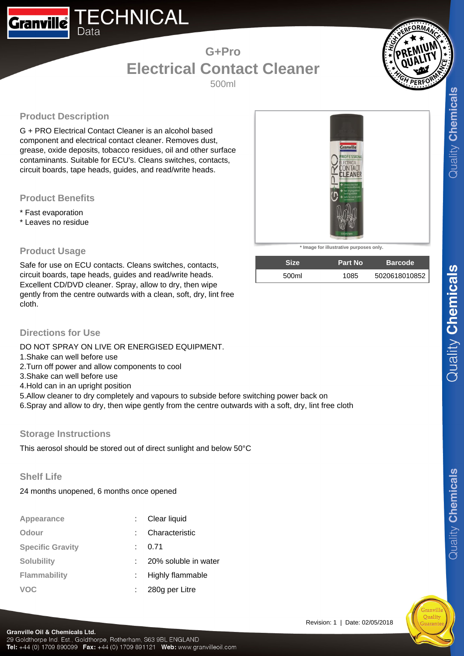## **G+Pro Electrical Contact Cleaner**

500ml



## **Product Description**

Data

**Granville** 

G + PRO Electrical Contact Cleaner is an alcohol based component and electrical contact cleaner. Removes dust, grease, oxide deposits, tobacco residues, oil and other surface contaminants. Suitable for ECU's. Cleans switches, contacts, circuit boards, tape heads, guides, and read/write heads.

**ECHNICAL** 

#### **Product Benefits**

- \* Fast evaporation
- \* Leaves no residue



Safe for use on ECU contacts. Cleans switches, contacts, circuit boards, tape heads, guides and read/write heads. Excellent CD/DVD cleaner. Spray, allow to dry, then wipe gently from the centre outwards with a clean, soft, dry, lint free cloth.



**\* Image for illustrative purposes only.**

| <b>Size</b> | <b>Part No</b> | <b>Barcode</b> |
|-------------|----------------|----------------|
| 500ml       | 1085           | 5020618010852  |

Revision: 1 | Date: 02/05/2018

### **Directions for Use**

DO NOT SPRAY ON LIVE OR ENERGISED EQUIPMENT.

- 1.Shake can well before use
- 2.Turn off power and allow components to cool
- 3.Shake can well before use
- 4.Hold can in an upright position
- 5.Allow cleaner to dry completely and vapours to subside before switching power back on
- 6.Spray and allow to dry, then wipe gently from the centre outwards with a soft, dry, lint free cloth

#### **Storage Instructions**

This aerosol should be stored out of direct sunlight and below 50°C

**Shelf Life**

24 months unopened, 6 months once opened

| Appearance              | Clear liquid            |
|-------------------------|-------------------------|
| Odour                   | Characteristic          |
| <b>Specific Gravity</b> | 0.71                    |
| <b>Solubility</b>       | 20% soluble in water    |
| <b>Flammability</b>     | <b>Highly flammable</b> |
| <b>VOC</b>              | 280g per Litre          |